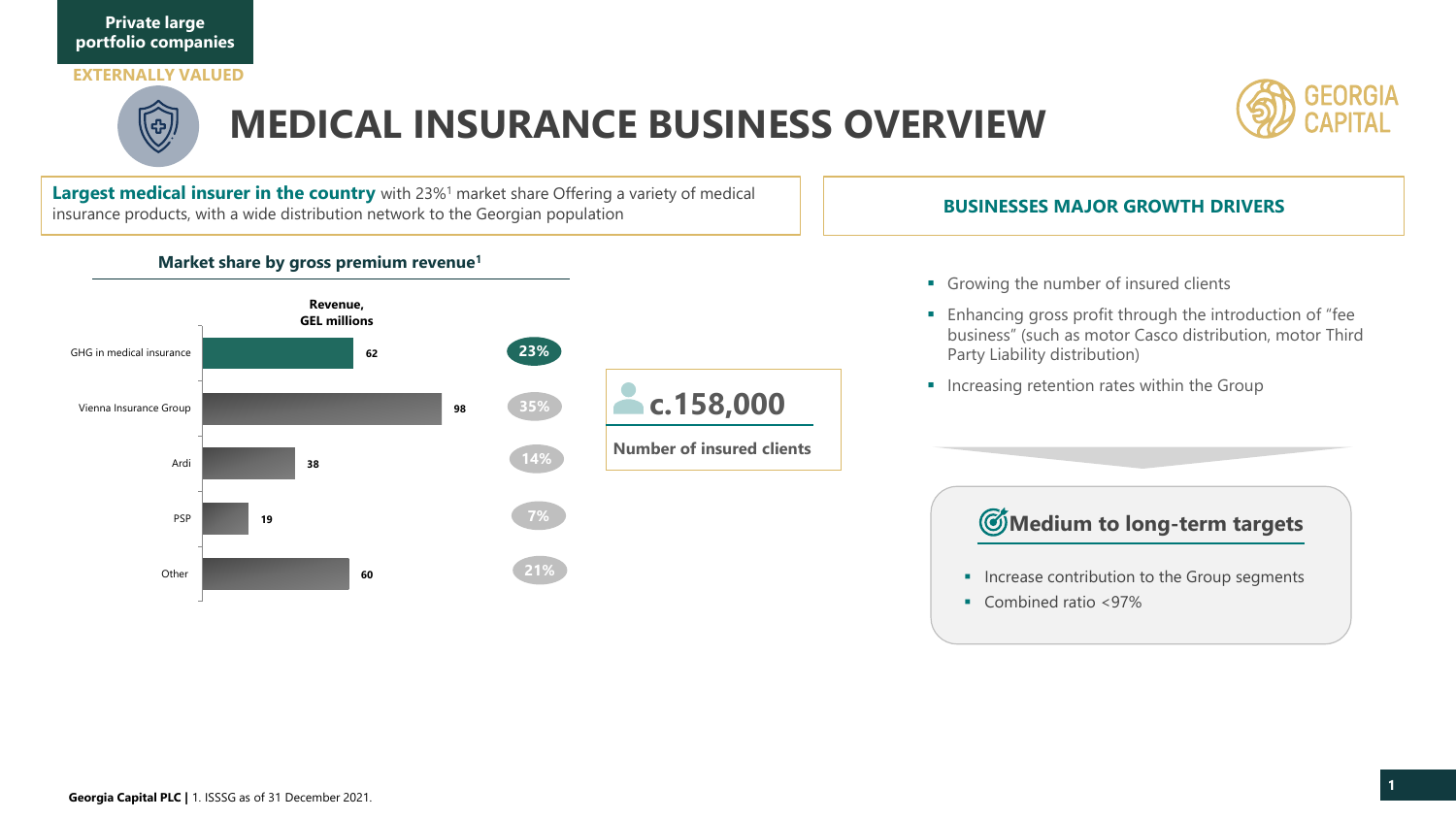

## **EXTERNALLY VALUED**



## **MEDICAL INSURANCE BUSINESS OVERVIEW**

**Largest medical insurer in the country** with 23%<sup>1</sup> market share Offering a variety of medical insurance products, with a wide distribution network to the Georgian population

**Market share by gross premium revenue<sup>1</sup>**

#### **Number of insured clients c.158,000 60 19 38 98 62 Other** PSP Ardi Vienna Insurance Group GHG in medical insurance **Revenue, GEL millions 23% 35% 14% 7% 21%**

## **BUSINESSES MAJOR GROWTH DRIVERS**

- Growing the number of insured clients
- Enhancing gross profit through the introduction of "fee business" (such as motor Casco distribution, motor Third Party Liability distribution)
- **·** Increasing retention rates within the Group

## **Medium to long-term targets**

- **■** Increase contribution to the Group segments
- Combined ratio <97%